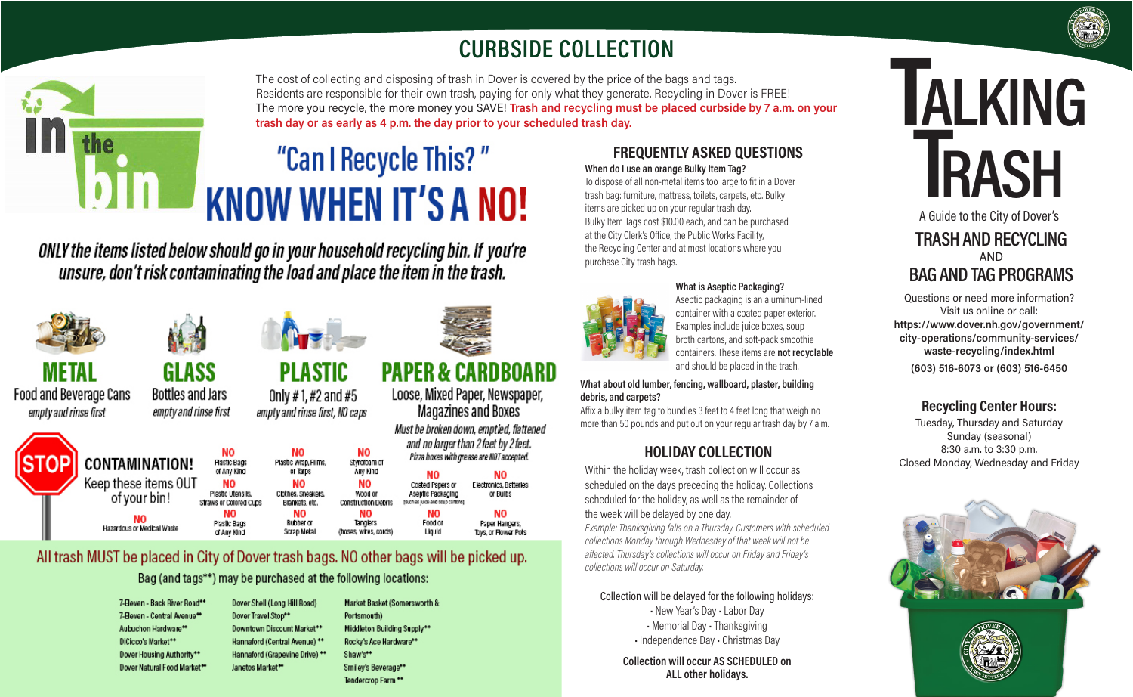## **CURBSIDE COLLECTION**

The cost of collecting and disposing of trash in Dover is covered by the price of the bags and tags. Residents are responsible for their own trash, paying for only what they generate. Recycling in Dover is FREE! The more you recycle, the more money you SAVE! **Trash and recycling must be placed curbside by 7 a.m. on your trash day or as early as 4 p.m. the day prior to your scheduled trash day.**

# "Can I Recycle This?" **KNOW WHEN IT'S A NO!**

ONLY the items listed below should go in your household recycling bin. If you're unsure, don't risk contaminating the load and place the item in the trash.

Only #1, #2 and #5

empty and rinse first, NO caps

Plastic Wrap, Films

or Tarps

**NO** 

Clothes, Sneakers,

Blankets, etc.

NO

Rubber or

Scrap Metal





**GLASS** 

**Bottles and Jars** 

empty and rinse first

**CONTAMINATION!** 

Keep these items OUT

of your bin!

Hazardous or Medical Waste

**NO** 

Plastic Bags

of Any Kind

**NO** 

Plastic Utensils.

Straws or Colored Cups

NO

Plastic Bags

of Any Kind

METAL Food and Beverage Cans empty and rinse first



#### **PAPER & CARDBOARD PLASTIC**

Wood or

**Construction Debris** 

NO

Tanglers

(hoses, wires, cords)



Liguid

Aseptic Packaging or Bulbs (such as juice and soup cartons) NΟ NO Food or

Paper Hangers, Toys, or Flower Pots

#### All trash MUST be placed in City of Dover trash bags. NO other bags will be picked up.

Bag (and tags\*\*) may be purchased at the following locations:

| 7-Eleven - Back River Road** | Dover Shell (Long Hill Road)   | Market Basket (Somersworth & |
|------------------------------|--------------------------------|------------------------------|
| 7-Eleven - Central Avenue**  | Dover Travel Stop**            | Portsmouth)                  |
| Aubuchon Hardware**          | Downtown Discount Market**     | Middleton Building Supply**  |
| DiCicco's Market**           | Hannaford (Central Avenue) **  | Rocky's Ace Hardware**       |
| Dover Housing Authority**    | Hannaford (Grapevine Drive) ** | Shaw's**                     |
| Dover Natural Food Market**  | Janetos Market <sup>**</sup>   | Smiley's Beverage**          |
|                              |                                | Tondorcron Form **           |

#### **FREQUENTLY ASKED QUESTIONS**

**When do I use an orange Bulky Item Tag?** To dispose of all non-metal items too large to fit in a Dover trash bag: furniture, mattress, toilets, carpets, etc. Bulky items are picked up on your regular trash day. Bulky Item Tags cost \$10.00 each, and can be purchased at the City Clerk's Office, the Public Works Facility, the Recycling Center and at most locations where you purchase City trash bags.



#### **What is Aseptic Packaging?**

Aseptic packaging is an aluminum-lined container with a coated paper exterior. Examples include juice boxes, soup broth cartons, and soft-pack smoothie containers. These items are **not recyclable** and should be placed in the trash.

**What about old lumber, fencing, wallboard, plaster, building debris, and carpets?**

Affix a bulky item tag to bundles 3 feet to 4 feet long that weigh no more than 50 pounds and put out on your regular trash day by 7 a.m.

#### **HOLIDAY COLLECTION**

Within the holiday week, trash collection will occur as scheduled on the days preceding the holiday. Collections scheduled for the holiday, as well as the remainder of the week will be delayed by one day. *Example: Thanksgiving falls on a Thursday. Customers with scheduled collections Monday through Wednesday of that week will not be affected. Thursday's collections will occur on Friday and Friday's collections will occur on Saturday.*

Collection will be delayed for the following holidays: • New Year's Day • Labor Day • Memorial Day • Thanksgiving • Independence Day • Christmas Day

> **Collection will occur AS SCHEDULED on ALL other holidays.**

# **TALKING TRASH**

A Guide to the City of Dover's **TRASH AND RECYCLING** AND **BAG AND TAG PROGRAMS**

Questions or need more information? Visit us online or call: **https://www.dover.nh.gov/government/ city-operations/community-services/ waste-recycling/index.html (603) 516-6073 or (603) 516-6450**

#### **Recycling Center Hours:**

Tuesday, Thursday and Saturday Sunday (seasonal) 8:30 a.m. to 3:30 p.m. Closed Monday, Wednesday and Friday